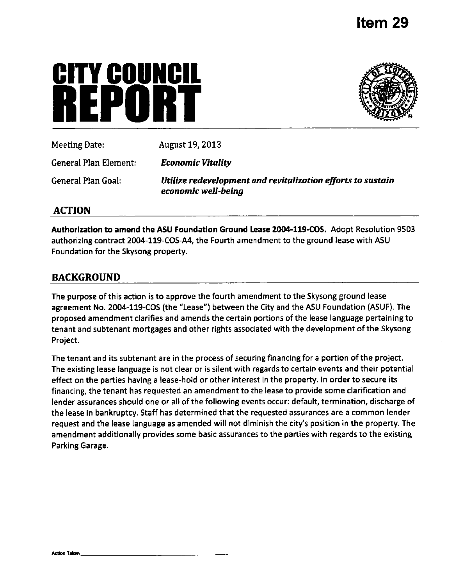# **CITY COUNCIl REPURIE**



| Meeting Date: \       | August 19, 2013                                                                    |
|-----------------------|------------------------------------------------------------------------------------|
| General Plan Element: | <b>Economic Vitality</b>                                                           |
| General Plan Goal:    | Utilize redevelopment and revitalization efforts to sustain<br>economic well-being |

# **ACTION**

Authorization to amend the ASU Foundation Ground Lease 2004-119-COS. Adopt Resolution 9503 authorizing contract 2004-119-COS-A4, the Fourth amendment to the ground lease with ASU Foundation for the Skysong property.

# **BACKGROUND**

The purpose of this action is to approve the fourth amendment to the Skysong ground lease agreement No. 2004-119-COS (the "Lease") between the City and the ASU Foundation (ASUF). The proposed amendment clarifies and amends the certain portions of the lease language pertaining to tenant and subtenant mortgages and other rights associated with the development of the Skysong Project.

The tenant and its subtenant are in the process of securing financing for a portion of the project. The existing lease language is not clear or is silent with regards to certain events and their potential effect on the parties having a lease-hold or other interest in the property. In order to secure its financing, the tenant has requested an amendment to the lease to provide some clarification and lender assurances should one or all of the following events occur: default, termination, discharge of the lease in bankruptcy. Staff has determined that the requested assurances are a common lender request and the lease language as amended will not diminish the city's position in the property. The amendment additionally provides some basic assurances to the parties with regards to the existing Parking Garage.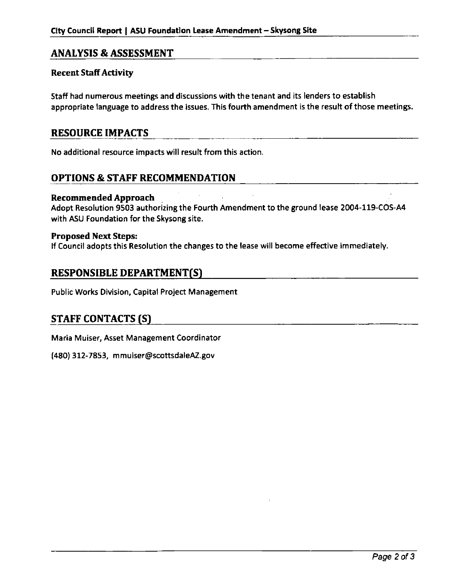# **ANALYSIS & ASSESSMENT**

### Recent Staff Activity

Staff had numerous meetings and discussions with the tenant and its lenders to establish appropriate language to address the issues. This fourth amendment is the result of those meetings.

# **RESOURCE IMPACTS**

No additional resource impacts will result from this action.

# **OPTIONS & STAFF RECOMMENDATION**

#### Recommended Approach

Adopt Resolution 9503 authorizing the Fourth Amendment to the ground lease 2004-119-COS-A4 with ASU Foundation for the Skysong site.

Proposed Next Steps:<br>If Council adopts this Resolution the changes to the lease will become effective immediately.

## **RESPONSIBLE DEPARTMENT(S)**

**Public Works Division, Capital Project Management** 

# **STAFF CONTACTS (S)**

Maria Muiser, Asset Management Coordinator

(480) 312-7853, mmuiser@scottsdaleAZ.gov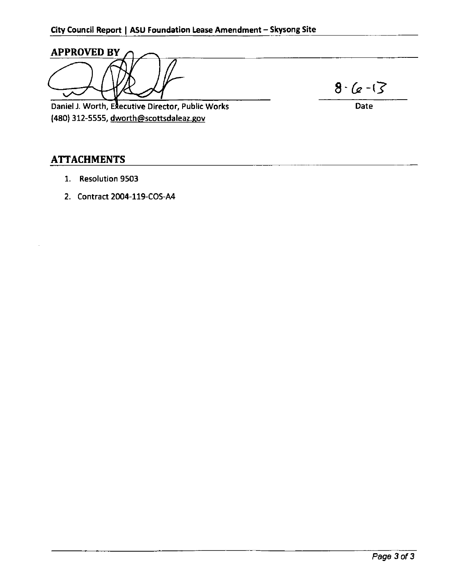**APPROVED BY**   $86 - 13$ Daniel J. Worth, Executive Director, Public Works Date (480) 312-5555, dworth@scottsdaleaz.gov

# **ATTACHMENTS**

- 1. Resolution 9503
- 2. Contract 2004-119-COS-A4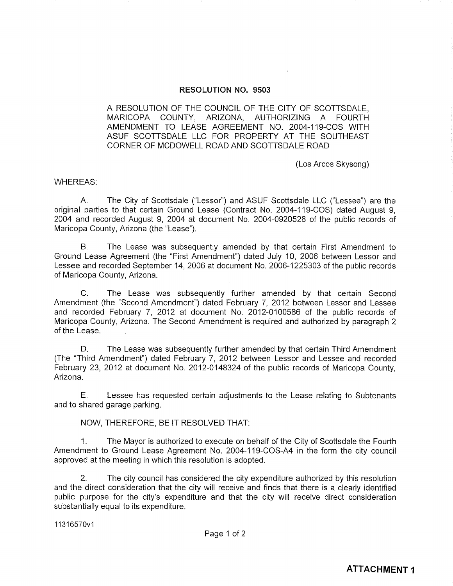#### **RESOLUTION NO. 9503**

A RESOLUTION OF THE COUNCIL OF THE CITY OF SCOTTSDALE. MARICOPA COUNTY. ARIZONA, AUTHORIZING A FOURTH AMENDMENT TO LEASE AGREEMENT NO. 2004-119-COS WITH ASUF SCOTTSDALE LLC FOR PROPERTY AT THE SOUTHEAST CORNER OF MCDOWELL ROAD AND SCOTTSDALE ROAD

(Los Arcos Skysong)

#### **WHEREAS:**

 $A_{1}$ The City of Scottsdale ("Lessor") and ASUF Scottsdale LLC ("Lessee") are the original parties to that certain Ground Lease (Contract No. 2004-119-COS) dated August 9, 2004 and recorded August 9, 2004 at document No. 2004-0920528 of the public records of Maricopa County, Arizona (the "Lease").

 $B<sub>1</sub>$ The Lease was subsequently amended by that certain First Amendment to Ground Lease Agreement (the "First Amendment") dated July 10, 2006 between Lessor and Lessee and recorded September 14, 2006 at document No. 2006-1225303 of the public records of Maricopa County, Arizona.

 $\overline{C}$ . The Lease was subsequently further amended by that certain Second Amendment (the "Second Amendment") dated February 7, 2012 between Lessor and Lessee and recorded February 7, 2012 at document No. 2012-0100586 of the public records of Maricopa County, Arizona. The Second Amendment is required and authorized by paragraph 2 of the Lease.

The Lease was subsequently further amended by that certain Third Amendment D. (The "Third Amendment") dated February 7, 2012 between Lessor and Lessee and recorded February 23, 2012 at document No. 2012-0148324 of the public records of Maricopa County. Arizona.

Е. Lessee has requested certain adjustments to the Lease relating to Subtenants and to shared garage parking.

NOW, THEREFORE, BE IT RESOLVED THAT:

 $1<sub>1</sub>$ The Mayor is authorized to execute on behalf of the City of Scottsdale the Fourth Amendment to Ground Lease Agreement No. 2004-119-COS-A4 in the form the city council approved at the meeting in which this resolution is adopted.

 $2.$ The city council has considered the city expenditure authorized by this resolution and the direct consideration that the city will receive and finds that there is a clearly identified public purpose for the city's expenditure and that the city will receive direct consideration substantially equal to its expenditure.

11316570v1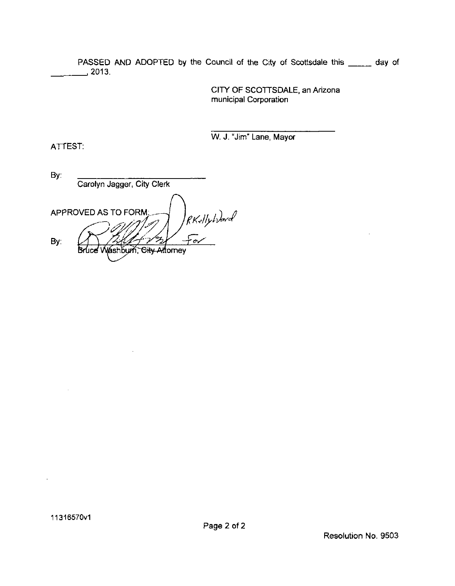PASSED AND ADOPTED by the Council of the City of Scottsdale this \_\_\_\_\_ day of ,2013.

> CITY OF SCOTTSDALE, an Arizona municipal Corporation

W. J. "Jim" Lane, Mayor

By: Carolyn Jagger, City Clerk RKallyhourd APPROVED AS TO FORM:. By: **Gity A** Bruce V váshbum. ktomev

 $\overline{\phantom{a}}$ 

11316570v1

ATTEST: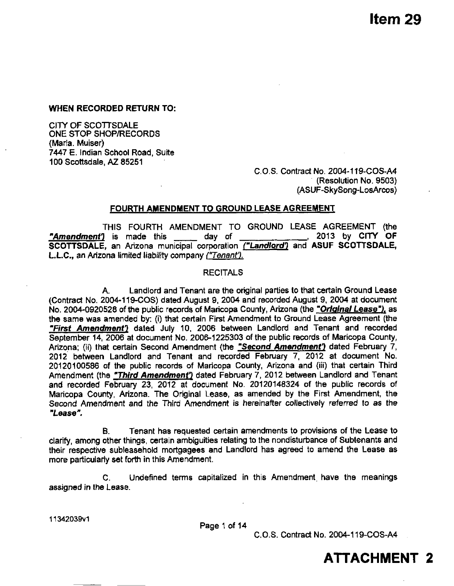**Item 29** 

**WHEN RECORDED RETURN TO:** 

CITY OF SCOTTSDALE ONE STOP SHOP/RECORDS (Maria. Muiser) 7447 E. Indian School Road, Suite 100 Scottsdale, AZ 85251

> C.O.S. Contract No. 2004-119-COS-A4 (Resolution No. 9503) (ASUF-SkySong-LosArcos)

#### **FOURTH AMENDMENT TO GROUND LEASE AGREEMENT**

THIS FOURTH AMENDMENT TO GROUND LEASE AGREEMENT (the **"Amendment')** is made this \_\_\_\_\_ day of **, 2013 by CITY OF**  SCOTTSDALE, an Arizona municipal corporation ("Landlord") and ASUF SCOTTSDALE, L.L.C., an Arizona limited liability company ("Tenant').

#### **RECITALS**

**A. Landlord and Tenant are the original parties to that certain Ground Lease (Contract No. 2004-119-COS) dated August 9, 2004 and recorded August 9, 2004 at document**  No. 2004-0920528 of the public records of Maricopa County, Arizona (the "Original Lease"), as **the same was amended by: (i) that certain First Amendment to Ground Lease Agreement (the "First Amendmentl dated July 10, 2006 between Landlord and Tenant and recorded**  September 14, 2006 at document No. 2006-1225303 of the public records of Maricopa County, **Arizona; (ii) that certain Second Amendment (the "Second Amandmenf} dated February 7, 2012 between Landlord and Tenant and recorded February 7, 2012 at document No. 20120100586 of the public records of Maricopa County, Arizona and (iii) that certain Third**  Amendment (the **"Third Amendment"**) dated February 7, 2012 between Landlord and Tenant **and recorded February 23, 2012 at document No. 20120148324 of the public records of Maricopa County. Arizona. The Original Lease, as amended by the First Amendment, the Second Amendment and the Third Amendment is hereinafter collectively referred to as the "Lease".** 

B. Tenant has requested certain amendments to provisions of the Lease to clarify, among other things, certain ambiguities relating to the nondisturbance of Subtenants and their respective subleasehold mortgagees and Landlord has agreed to amend the Lease as more particulariy set forth in this Amendment.

C. Undefined terms capitalized in this Amendment have the meanings assigned in the Lease.

**11342039V1** 

Page 1 of 14

C.O.S. Contract No. 2004-119-COS-A4

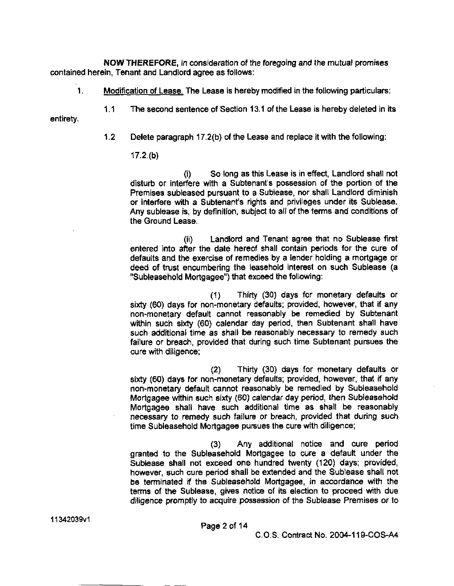NOW THEREFORE, in consideration of the foregoing and the mutual promises contained herein, Tenant and Landlord agree as follows:

1 Modification of Lease. The Lease is hereby modified in the foiiowing particulars:

entirety.

1.2 Delete paragraph 17.2(b) of the Lease and replace it with the following:

1.1 The second sentence of Section 13.1 of the Lease is hereby deleted in its

#### 17.2.(b)

(i) So long as this Lease is in effect, Landlord shall not disturb or interfere with a Subtenant's possession of the portion of the Premises subleased pursuant to a Sublease, nor shall Landlord diminish or interfere with a Subtenant's rights and privileges under its Sublease. Any sublease is, by definition, subject to all of the terms and conditions of the Ground Lease.

(ii) Landlord and Tenant agree that no Sublease first entered into after the date hereof shall contain periods for the cure of defaults and the exercise of remedies by a lender holding a mortgage or deed of trust encumbering the leasehold interest on such Sublease (a "Subleasehold Mortgagee") that exceed the following:

(1) Thirty (30) days for monetary defaults or sixty (60) days for non-monetary defaults; provided, however, that if any non-monetary default cannot reasonably be remedied by Subtenant within such sixty (60) calendar day period, then Subtenant shall have such additional time as shall be reasonably necessary to remedy such failure or breach, provided that during such time Subtenant pursues the cure with diligence;

(2) Thirty (30) days for monetary defaults or sixty (60) days for non-monetary defaults; provided, however, that if any non-monetary default cannot reasonably be remedied by Subleasehold Mortgagee within such sixty (60) calendar day period, then Subleasehold Mortgagee shall have such additional time as shall be reasonably necessary to remedy such failure or breach, provided that during such time Subleasehold Mortgagee pursues the cure with diligence;

(3) Any additional notice and cure period granted to the Subleasehold Mortgagee to cure a default under the Sublease shall not exceed one hundred twenty (120) days; provided, however, such cure period shall be extended and the Sublease shall not be terminated if the Subleasehold Mortgagee, in accordance with the terms of the Sublease, gives notice of its election to proceed with due diligence promptly to acquire possession of the Sublease Premises or to

C.O.S. Contract No. 2004-119-COS-A4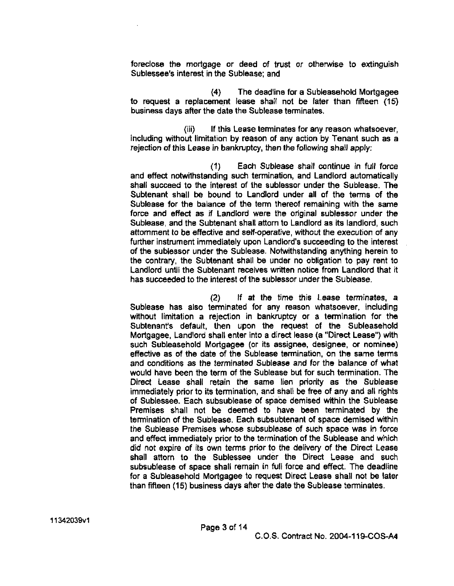foreclose the mortgage or deed of trust or otherwise to extinguish Sublessee's interest in the Sublease; and

(4) The deadline for a Subleasehold Mortgagee to request a replacement lease shall not be later than fifteen (15) business days after the date the Sublease terminates.

(iii) If this Lease terminates for any reason whatsoever, including without limitation by reason of any action by Tenant such as a rejection of this Lease in bankruptcy, then the following shall apply:

(1) Each Sublease shall continue in full force and effect notwithstanding such termination, and Landlord automatically shall succeed to the interest of the sublessor under the Sublease. The Subtenant shall be bound to Landlord under all of the terms of the Sublease for the balance of the term thereof remaining with the same force and effect as if Landlord were the original sublessor under the Sublease, and the Subtenant shall attorn to Landlord as its landlord, such attomment to be effective and self-operative, without the execution of any further instrument immediately upon Landlord's succeeding to the interest of the sublessor under the Sublease. Notwithstanding anything herein to the contrary, the Subtenant shall be under no obligation to pay rent to Landlord until the Subtenant receives written notice from Landlord that it has succeeded to the interest of the sublessor under the Sublease.

(2) If at the time this Lease terminates, a Sublease has also terminated for any reason whatsoever, including without limitation a rejection in bankruptcy or a termination for the Subtenant's default, then upon the request of the Subleasehold Mortgagee, Landlord shall enter into a direct lease (a "Direct Lease") with such Subleasehold Mortgagee (or its assignee, designee, or nominee) effective as of the date of the Sublease termination, on the same terms and conditions as the terminated Sublease and for the balance of what would have been the term of the Sublease but for such termination. The Direct Lease shall retain the same lien priority as the Sublease immediately prior to its termination, and shall be free of any and all rights of Sublessee. Each subsublease of space demised within the Sublease Premises shall not be deemed to have been terminated by the tennination of the Sublease. Each subsubtenant of space demised within the Sublease Premises whose subsublease of such space was in force and effect immediately prior to the termination of the Sublease and which did not expire of its own terms prior to the delivery of the Direct Lease shall attorn to the Sublessee under the Direct Lease and such subsublease of space shall remain in full force and effect. The deadline for a Subleasehold Mortgagee to request Direct Lease shall not be later than fifteen (15) business days after the date the Sublease terminates.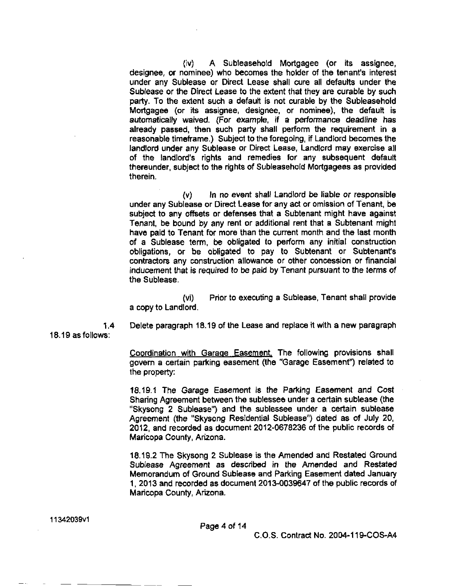(iv) A Subleasehold Mortgagee (or its assignee, designee, or nominee) who becomes the holder of the tenant's interest under any Sublease or Direct Lease shall cure all defaults under the Sublease or the Direct Lease to the extent that they are curable by such party. To the extent such a default is not curable by the Subleasehold Mortgagee (or its assignee, designee, or nominee), the default is automatically waived. (For example, if a performance deadline has already passed, then such party shall perfonm the requirement in a reasonable timeframe.) Subject to the foregoing, if Landlord becomes the landlord under any Sublease or Direct Lease, Landlord may exercise all of the landlord's rights and remedies for any subsequent default thereunder, subject to the rights of Subleasehold Mortgagees as provided therein.

 $(v)$  In no event shall Landlord be liable or responsible under any Sublease or Direct Lease for any act or omission of Tenant, be subject to any offsets or defenses that a Subtenant might have against Tenant, be bound by any rent or additional rent that a Subtenant might have paid to Tenant for more than the current month and the last month of a Sublease term, be obligated to perfonn any initial construction obligations, or be obligated to pay to Subtenant or Subtenant's contractors any construction allowance or other concession or financial inducement that is required to be paid by Tenant pursuant to the terms of the Sublease.

(vi) Prior to executing a Sublease, Tenant shall provide a copy to Landlord.

**1.4**  18.19 as follows: Delete paragraph 18.19 of the Lease and replace it with a new paragraph

> Coordination with Garage Easement. The following provisions shall govern a certain parking easement (the "Garage Easement") related to the property:

> 18.19.1 The Garage Easement is the Parking Easement and Cost Sharing Agreement between the sublessee under a certain sublease (the "Skysong 2 Sublease") and the sublessee under a certain sublease Agreement (the "Skysong Residential Sublease") dated as of July 20, 2012, and recorded as document 2012-0678236 of the public records of Maricopa County, Arizona.

> 18.19.2 The Skysong 2 Sublease is the Amended and Restated Ground Sublease Agreement as described in the Amended and Restated Memorandum of Ground Sublease and Parking Easement dated January 1, 2013 and recorded as document 2013-0039647 of the public records of Maricopa County, Arizona.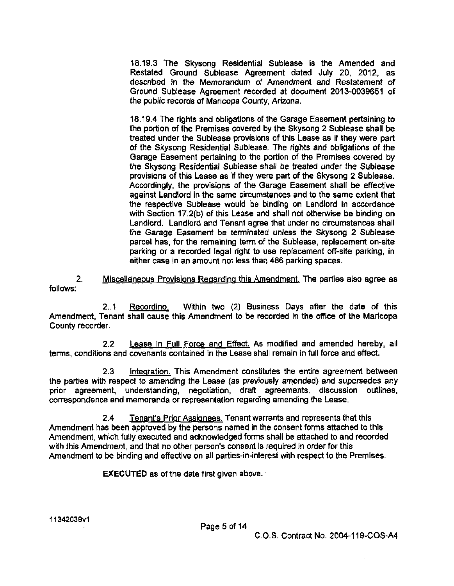18.19.3 The Skysong Residential Sublease is the Amended and Restated Ground Sublease Agreement dated July 20, 2012. as described in the Memorandum of Amendment and Restatement of Ground Sublease Agreement recorded at document 2013-0039651 of the public records of Maricopa County, Arizona.

18.19.4 The rights and obligations of the Garage Easement pertaining to the portion of the Premises covered by the Skysong 2 Sublease shall be treated under the Sublease provisions of this Lease as if they were part of the Skysong Residential Sublease, The rights and obligations of the Garage Easement pertaining to the portion of the Premises covered by the Skysong Residential Sublease shall be treated under the Sublease provisions of this Lease as if they were part of the Skysong 2 Sublease. Accordingly, the provisions of the Garage Easement shall be effective against Landlord in the same circumstances and to the same extent that the respective Sublease would be binding on Landlord in accordance with Section 17.2(b) of this Lease and shall not otherwise be binding on Landlord. Landlord and Tenant agree that under no circumstances shall the Garage Easement be tenninated unless the Skysong 2 Sublease parcel has, for the remaining term of the Sublease, replacement on-site parking or a recorded legal right to use replacement off-site parking, in either case in an amount not less than 486 parking spaces.

2. Miscellaneous Provisions Regarding this Amendment. The parties also agree as follows:

2.1 Recording. Within two (2) Business Days after the date of this Amendment, Tenant shall cause this Amendment to be recorded in the office of the Maricopa County recorder.

2.2 Lease in Full Force and Effect. As modified and amended hereby, all terms, conditions and covenants contained in the Lease shall remain in full force and effect.

2.3 **Integration.** This Amendment constitutes the entire agreement between the parties with respect to amending the Lease (as previously amended) and supersedes any prior agreement, understanding, negotiation, draft agreements, discussion outlines, correspondence and memoranda or representation regarding amending the Lease.

2.4 Tenant's Prior Assignees. Tenant warrants and represents that this Amendment has been approved by the persons named in the consent forms attached to this Amendment, which fully executed and acknowledged fonns shall be attached to and recorded with this Amendment, and that no other person's consent is required in order for this Amendment to be binding and effective on all parties-in-interest with respect to the Premises.

EXECUTED as of the date first given above.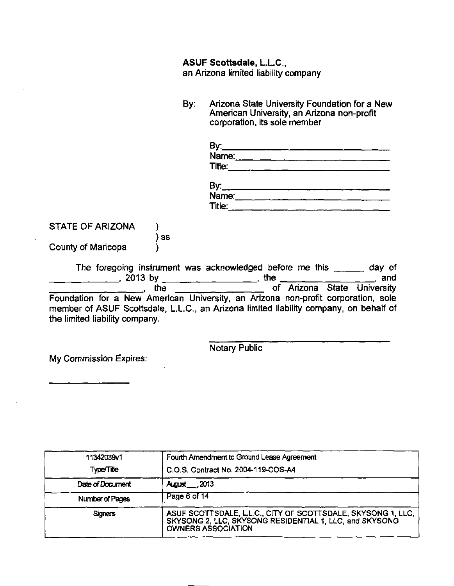### **ASUF Scottsdale, L.L.C..**

an Arizona limited liability company

By: Arizona State University Foundation for a New American University, an Arizona non-profit corporation, its sole member

| By:    |  |  |
|--------|--|--|
| Name:  |  |  |
| Title: |  |  |

| By:    |  |
|--------|--|
| Name:  |  |
| Title: |  |

STATE OF ARIZONA )

) ss

County of Maricopa )

The foregoing instrument was acknowledged before me this day of , 2013 by \_\_\_\_\_\_\_\_\_\_\_\_\_\_\_\_\_\_\_\_, the \_\_\_\_\_\_\_\_\_\_\_\_\_\_\_\_\_\_\_\_\_, and the **\_\_\_\_\_\_\_\_\_\_\_\_\_\_\_\_\_\_** of Arizona State University Foundation for a New American University, an Arizona non-profit corporation, sole member of ASUF Scottsdale, L.L.C, an Arizona limited liability company, on behalf of the limited liability company.

Notary Public

My Commission Expires:

Fourth Amendment to Ground Lease Agreement 11342039V1 TypaTifle C.O.S. Contract No. 2004-119-COS-A4 Date of Document August ,2013 Number of Pages Page 6 of 14 **Signers** ASUF SCOTTSDALE, LLC. CITY OF SCOTTSDALE, SKYSONG 1, LLC, SKYSONG 2, LLC. SKYSONG RESIDENTIAL 1. LLC, and SKYSONG OWNERS ASSOCIATION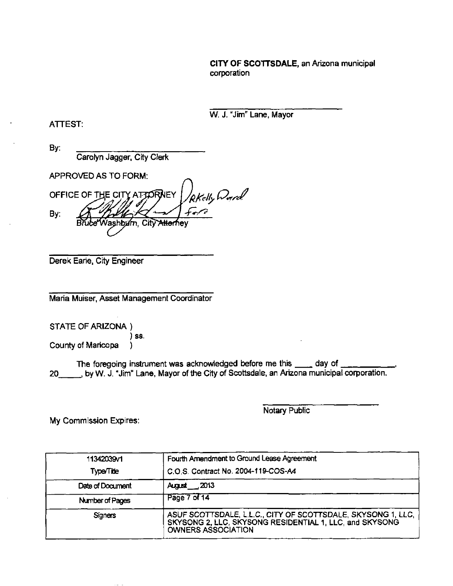#### CITY OF SCOTTSDALE, an Arizona municipal corporation

W. J. "Jim" Lane. Mayor

#### ATTEST:

By:

Carolyn Jagger, City Clerk

APPROVED AS TO FORM:

RKelly Donrol OFFICE OF THE CITY AT TO RNEY By: ashbu'rn, City <del>Allerh</del>ev

Derek Earie. City Engineer

Maria Muiser, Asset Management Coordinator

STATE OF ARIZONA )

)S6. County of Maricopa )

The foregoing instrument was acknowledged before me this \_\_\_\_ day of 20 , by W. J. "Jim" Lane, Mayor of the City of Scottsdale, an Arizona municipal corporation.

Notary Public

| 11342039v1       | Fourth Amendment to Ground Lease Agreement                                                                                                           |
|------------------|------------------------------------------------------------------------------------------------------------------------------------------------------|
| <b>Type/Tite</b> | C.O.S. Contract No. 2004-119-COS-A4                                                                                                                  |
| Date of Document | August____2013                                                                                                                                       |
| Number of Pages  | Page 7 of 14                                                                                                                                         |
| <b>Signers</b>   | ASUF SCOTTSDALE, L.L.C., CITY OF SCOTTSDALE, SKYSONG 1, LLC,<br>SKYSONG 2, LLC, SKYSONG RESIDENTIAL 1, LLC, and SKYSONG<br><b>OWNERS ASSOCIATION</b> |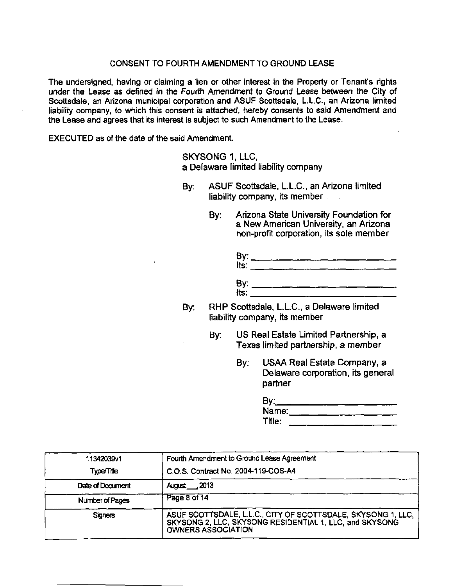The undersigned, having or claiming a lien or other interest in the Property or Tenant's rights under the Lease as defined in the Fourth Amendment to Ground Lease between the City of Scottsdale, an Arizona municipal corporation and ASUF Scottsdale, L.L.C, an Arizona limited liability company, to which this consent is attached, hereby consents to said Amendment and the Lease and agrees that its interest is subject to such Amendment to the Lease.

EXECUTED as of the date of the said Amendment.

SKYSONG 1, LLC. a Delaware limited liability company

- By: ASUF Scottsdaie, LL.C, an Arizona limited liability company, its member
	- By: Arizona State University Foundation for a New American University, an Arizona non-profit corporation, its sole member

| By:<br>Its:       |  |  |  |  |
|-------------------|--|--|--|--|
|                   |  |  |  |  |
| By: $\frac{1}{1}$ |  |  |  |  |

- By: RHP Scottsdale, L.LC, a Delaware limited liability company, its member
	- By: US Real Estate Limited Partnership, a Texas limited partnership, a member
		- By: USAA Real Estate Company, a Delaware corporation, its general partner

| By:    |  |
|--------|--|
| Name:  |  |
| Title: |  |

| 11342039v1        | Fourth Amendment to Ground Lease Agreement                                                                                                        |
|-------------------|---------------------------------------------------------------------------------------------------------------------------------------------------|
| <b>Type/Title</b> | C.O.S. Contract No. 2004-119-COS-A4                                                                                                               |
| Date of Document  | August 2013                                                                                                                                       |
| Number of Pages   | Page 8 of 14                                                                                                                                      |
| <b>Signers</b>    | ASUF SCOTTSDALE, L.L.C., CITY OF SCOTTSDALE, SKYSONG 1, LLC, SKYSONG 2, LLC, SKYSONG RESIDENTIAL 1, LLC, and SKYSONG<br><b>OWNERS ASSOCIATION</b> |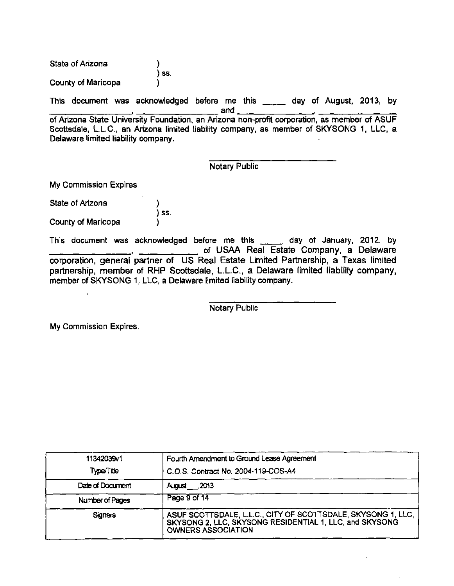State of Arizona ) ) ss. County of Maricopa )

This document was acknowledged before me this \_\_\_\_\_ day of August, 2013, by

and of Arizona State University Foundation, an Arizona non-profit corporation, as member of ASUF Scottsdale, LL.C, an Arizona limited liability company, as member of SKYSONG 1, LLC. a Delaware limited liability company.

### Notary Public

My Commission Expires:

State of Arizona County of Maricopa ) ) ss.

 $\overline{\phantom{a}}$ 

This document was acknowledged before me this was day of January, 2012, by of USAA Real Estate Company, a Delaware corporation, general partner of US Real Estate Limited Partnership, a Texas limited partnership, member of RHP Scottsdale, L.L.C, a Delaware limited liability company, member of SKYSONG 1, LLC, a Delaware limited liability company.

Notary Public

| 11342039v1       | Fourth Amendment to Ground Lease Agreement                                                                                                        |  |
|------------------|---------------------------------------------------------------------------------------------------------------------------------------------------|--|
| Type/Title       | C.O.S. Contract No. 2004-119-COS-A4                                                                                                               |  |
| Date of Document | August 2013                                                                                                                                       |  |
| Number of Pages  | Page 9 of 14                                                                                                                                      |  |
| <b>Signers</b>   | ASUF SCOTTSDALE, L.L.C., CITY OF SCOTTSDALE, SKYSONG 1, LLC, SKYSONG 2, LLC, SKYSONG RESIDENTIAL 1, LLC, and SKYSONG<br><b>OWNERS ASSOCIATION</b> |  |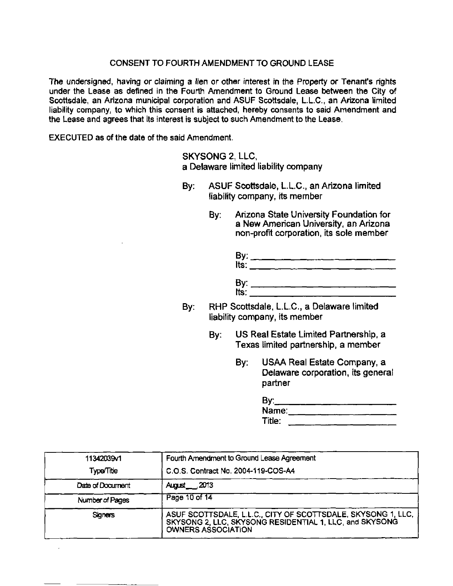The undersigned, having or claiming a lien or other interest in the Property or Tenanfs rights under the Lease as defined in the Fourth Amendment to Ground Lease between the City of Scottsdale, an Arizona municipal corporation and ASUF Scottsdale, LL.C, an Arizona limited liability company, to which this consent is attached, hereby consents to said Amendment and the Lease and agrees that its interest is subject to such Amendment to the Lease.

EXECUTED as of the date of the said Amendment.

SKYSONG 2, LLC, a Delaware limited liability company

- By: ASUF Scottsdale. L.L.C, an Arizona limited liability company, its member
	- By: Arizona State University Foundation for a New American University, an Arizona non-profit corporation, its sole member

| By:<br>Its: |  |  |  |  |
|-------------|--|--|--|--|
| By:<br>Its: |  |  |  |  |
|             |  |  |  |  |

- By: RHP Scottsdale. L.L.C, a Delaware limited liability company, its member
	- By: US Real Estate Limited Partnership, a Texas limited partnership, a member
		- By: USAA Real Estate Company, a Delaware corporation, its general partner

| By:    |  |
|--------|--|
| Name:  |  |
| Title: |  |

| 11342039v1        | Fourth Amendment to Ground Lease Agreement                                                                                                           |
|-------------------|------------------------------------------------------------------------------------------------------------------------------------------------------|
| <b>Type/Title</b> | C.O.S. Contract No. 2004-119-COS-A4                                                                                                                  |
| Date of Document  | <b>August</b> 2013                                                                                                                                   |
| Number of Pages   | Page 10 of 14                                                                                                                                        |
| <b>Signers</b>    | ASUF SCOTTSDALE, L.L.C., CITY OF SCOTTSDALE, SKYSONG 1, LLC,<br>SKYSONG 2, LLC, SKYSONG RESIDENTIAL 1, LLC, and SKYSONG<br><b>OWNERS ASSOCIATION</b> |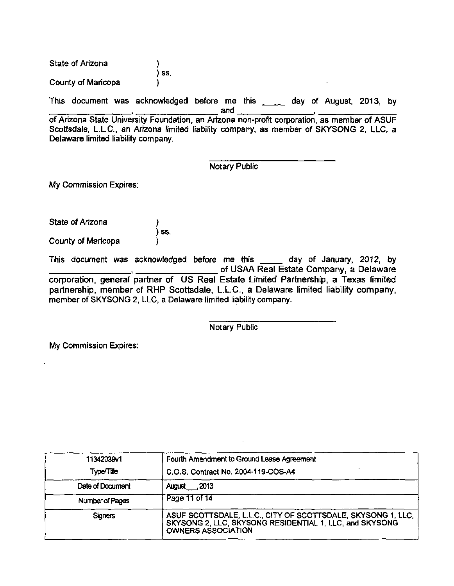State of Arizona County of Maricopa ) ) ss.  $\overline{\phantom{a}}$ 

This document was acknowledged before me this day of August, 2013, by

. . and

of Arizona State University Foundation, an Arizona non-profit corporation, as member of ASUF Scottsdale, L.L.C., an Arizona limited liability company, as member of SKYSONG 2. LLC, a Delaware limited liability company.

Notary Public

My Commission Expires:

State of Arizona County of Maricopa ) ss. )

This document was acknowledged before me this day of January, 2012, by of USAA Real Estate Company, a Delaware corporation, general partner of US Real Estate Limited Partnership, a Texas limited partnership, member of RHP Scottsdale, L.L.C, a Delaware limited liability company, member of SKYSONG 2, LLC, a Delaware limited liability company.

Notary Public

| 11342039v1       | Fourth Amendment to Ground Lease Agreement                                                                                                           |  |
|------------------|------------------------------------------------------------------------------------------------------------------------------------------------------|--|
| Type/Title       | C.O.S. Contract No. 2004-119-COS-A4                                                                                                                  |  |
| Date of Document | <b>August</b> 2013                                                                                                                                   |  |
| Number of Pages  | Page 11 of 14                                                                                                                                        |  |
| <b>Signers</b>   | ASUF SCOTTSDALE, L.L.C., CITY OF SCOTTSDALE, SKYSONG 1, LLC,<br>SKYSONG 2, LLC, SKYSONG RESIDENTIAL 1, LLC, and SKYSONG<br><b>OWNERS ASSOCIATION</b> |  |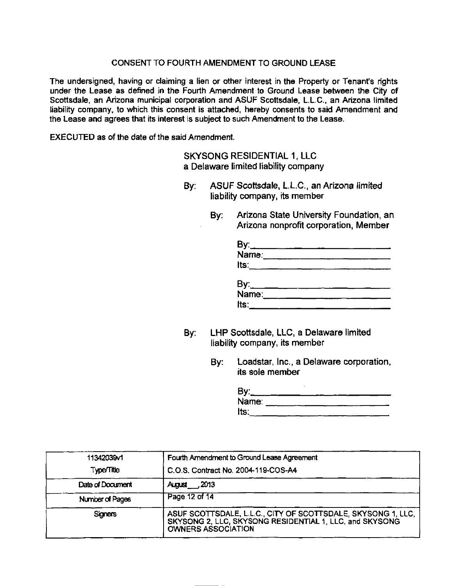The undersigned, having or claiming a lien or other interest in the Property or Tenant's rights under the Lease as defined in the Fourth Amendment to Ground Lease between the City of Scottsdale. an Arizona municipal corporation and ASUF Scottsdale. L.L.C, an Arizona limited liability company, to which this consent is attached, hereby consents to said Amendment and the Lease and agrees that its interest is subject to such Amendment to the Lease.

EXECUTED as of the date of the said Amendment.

SKYSONG RESIDENTIAL 1, LLC a Delaware limited liability company

- By: ASUF Scottsdale, L.L.C, an Arizona limited liability company, its member
	- By: Arizona State University Foundation, an Arizona nonprofit corporation, Member

| By:________________<br>Name:____________ |  |  |
|------------------------------------------|--|--|
| Its:                                     |  |  |
|                                          |  |  |
| By:_______<br>Name:_____                 |  |  |
| Its.                                     |  |  |

- By: LHP Scottsdale. LLC. a Delaware limited liability company, its member
	- By: Loadstar, Inc., a Delaware corporation, its sole member

| By:   |  |  |  |
|-------|--|--|--|
| Name: |  |  |  |
| Its:  |  |  |  |

| 11342039 1        | Fourth Amendment to Ground Lease Agreement                                                                                                    |  |  |  |
|-------------------|-----------------------------------------------------------------------------------------------------------------------------------------------|--|--|--|
| <b>Type/Title</b> | C.O.S. Contract No. 2004-119-COS-A4                                                                                                           |  |  |  |
| Date of Document  | August 2013                                                                                                                                   |  |  |  |
| Number of Pages   | Page 12 of 14                                                                                                                                 |  |  |  |
| <b>Signers</b>    | ASUF SCOTTSDALE, L.L.C., CITY OF SCOTTSDALE, SKYSONG 1, LLC,<br>SKYSONG 2, LLC, SKYSONG RESIDENTIAL 1, LLC, and SKYSONG<br>OWNERS ASSOCIATION |  |  |  |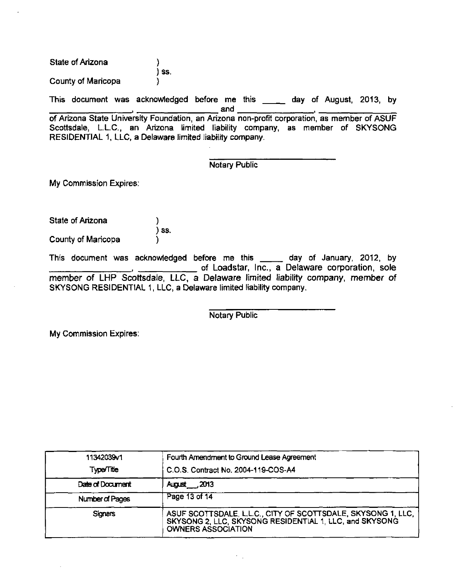state of Arizona County of Maricopa ) ) ss. )

This document was acknowledged before me this \_\_\_\_ day of August, 2013, by and

of Arizona State University Foundation, an Arizona non-profit corporation, as member of ASUF Scottsdale, LL.C, an Arizona limited liability company, as member of SKYSONG RESIDENTIAL 1, LLC, a Delaware limited liability company.

Notary Public

My Commission Expires:

| State of Arizona   | $)$ SS $\overline{\phantom{a}}$ |
|--------------------|---------------------------------|
| County of Maricopa |                                 |

This document was acknowledged before me this \_\_\_\_\_ day of January, 2012, by of Loadstar, Inc., a Delaware corporation, sole member of LHP Scottsdale, LLC, a Delaware limited liability company, member of SKYSONG RESIDENTIAL 1. LLC. a Delaware limited liability company.

Notary Public

| 11342039v1        | Fourth Amendment to Ground Lease Agreement                                                                                                        |  |  |  |
|-------------------|---------------------------------------------------------------------------------------------------------------------------------------------------|--|--|--|
| <b>Type/Title</b> | C.O.S. Contract No. 2004-119-COS-A4                                                                                                               |  |  |  |
| Date of Document  | August <sub>1,2013</sub>                                                                                                                          |  |  |  |
| Number of Pages   | Page 13 of 14                                                                                                                                     |  |  |  |
| <b>Signers</b>    | ASUF SCOTTSDALE, L.L.C., CITY OF SCOTTSDALE, SKYSONG 1, LLC, SKYSONG 2, LLC, SKYSONG RESIDENTIAL 1, LLC, and SKYSONG<br><b>OWNERS ASSOCIATION</b> |  |  |  |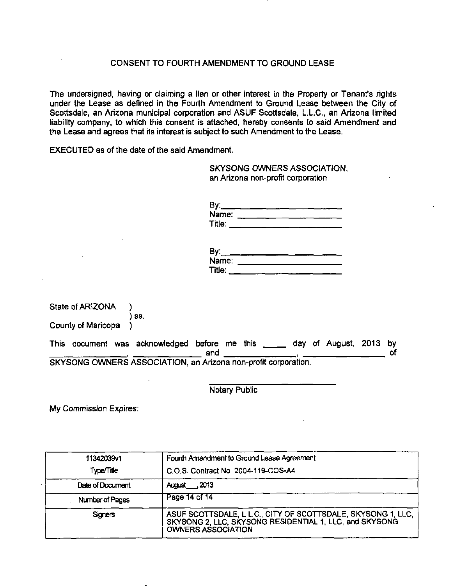The undersigned, having or claiming a lien or other interest in the Property or Tenant's rights under the Lease as defined in the Fourth Amendment to Ground Lease between the City of Scottsdale, an Arizona municipal corporation and ASUF Scottsdale, L.L.C, an Arizona limited liability company, to which this consent is attached, hereby consents to said Amendment and the Lease and agrees that its interest is subject to such Amendment to the Lease.

EXECUTED as of the date of the said Amendment.

SKYSONG OWNERS ASSOCIATION, an Arizona non-profit corporation

| By:    |  |  |
|--------|--|--|
| Name:  |  |  |
| Title: |  |  |

| By:    |  |  |  |
|--------|--|--|--|
| Name:  |  |  |  |
| Title: |  |  |  |

|                    | SKYSONG OWNERS ASSOCIATION, an Arizona non-profit corporation.             |     |  |  |  |  |
|--------------------|----------------------------------------------------------------------------|-----|--|--|--|--|
|                    |                                                                            | and |  |  |  |  |
|                    | This document was acknowledged before me this _____ day of August, 2013 by |     |  |  |  |  |
| County of Maricopa |                                                                            |     |  |  |  |  |
|                    | SS.                                                                        |     |  |  |  |  |
| State of ARIZONA   |                                                                            |     |  |  |  |  |

Notary Public

| 11342039/1        | Fourth Amendment to Ground Lease Agreement                                                                                                        |  |  |  |
|-------------------|---------------------------------------------------------------------------------------------------------------------------------------------------|--|--|--|
| <b>Type/Title</b> | C.O.S. Contract No. 2004-119-COS-A4                                                                                                               |  |  |  |
| Date of Document  | <b>August</b> 2013                                                                                                                                |  |  |  |
| Number of Pages   | Page 14 of 14                                                                                                                                     |  |  |  |
| <b>Signers</b>    | ASUF SCOTTSDALE, L.L.C., CITY OF SCOTTSDALE, SKYSONG 1, LLC, SKYSONG 2, LLC, SKYSONG RESIDENTIAL 1, LLC, and SKYSONG<br><b>OWNERS ASSOCIATION</b> |  |  |  |